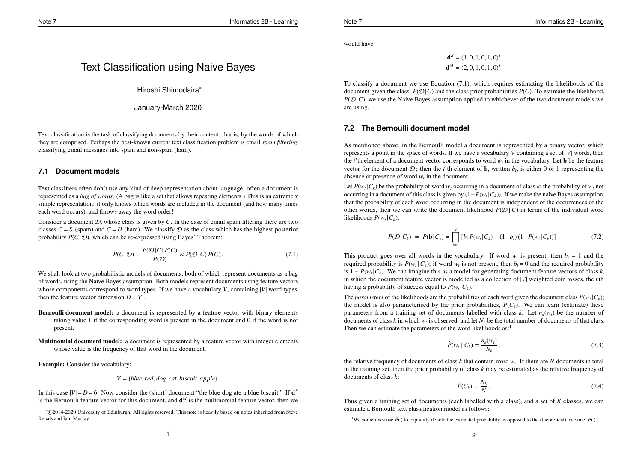would have:

$$
\mathbf{d}^B = (1, 0, 1, 0, 1, 0)^T
$$

$$
\mathbf{d}^M = (2, 0, 1, 0, 1, 0)^T
$$

To classify a document we use Equation (7.1), which requires estimating the likelihoods of the document given the class,  $P(D|C)$  and the class prior probabilities  $P(C)$ . To estimate the likelihood,  $P(\mathcal{D}|C)$ , we use the Naive Bayes assumption applied to whichever of the two document models we are using.

## **7.2 The Bernoulli document model**

As mentioned above, in the Bernoulli model a document is represented by a binary vector, which represents a point in the space of words. If we have a vocabulary *V* containing a set of |*V*| words, then the *t*'th element of a document vector corresponds to word  $w<sub>t</sub>$  in the vocabulary. Let **b** be the feature vector for the document  $\mathcal{D}$ ; then the *t*'th element of **b**, written  $b<sub>t</sub>$ , is either 0 or 1 representing the absence or presence of word  $w_t$  in the document.

Let  $P(w_t | C_k)$  be the probability of word  $w_t$  occurring in a document of class  $k$ ; the probability of  $w_t$  not occurring in a document of this class is given by (1−*P*(*w<sup>t</sup>* |*Ck*)). If we make the naive Bayes assumption, that the probability of each word occurring in the document is independent of the occurrences of the other words, then we can write the document likelihood  $P(D | C)$  in terms of the individual word likelihoods  $P(w_t | C_k)$ :

$$
P(\mathcal{D}|C_k) = P(\mathbf{b}|C_k) = \prod_{t=1}^{|V|} \left[ b_t P(w_t|C_k) + (1-b_t)(1-P(w_t|C_k)) \right]. \tag{7.2}
$$

This product goes over all words in the vocabulary. If word  $w_t$  is present, then  $b_t = 1$  and the required probability is  $P(w_t | C_k)$ ; if word  $w_t$  is not present, then  $b_t = 0$  and the required probability is  $1 - P(w_t | C_k)$ . We can imagine this as a model for generating document feature vectors of class *k*, in which the document feature vector is modelled as a collection of |*V*| weighted coin tosses, the *t* th having a probability of success equal to  $P(w_t | C_k)$ .

The *parameters* of the likelihoods are the probabilities of each word given the document class  $P(w_t|C_k)$ ; the model is also parameterised by the prior probabilities,  $P(C_k)$ . We can learn (estimate) these parameters from a training set of documents labelled with class *k*. Let  $n_k(w_t)$  be the number of documents of class *k* in which  $w_t$  is observed; and let  $N_k$  be the total number of documents of that class. Then we can estimate the parameters of the word likelihoods  $as<sup>1</sup>$ 

$$
\hat{P}(w_t \mid C_k) = \frac{n_k(w_t)}{N_k},\tag{7.3}
$$

the relative frequency of documents of class  $k$  that contain word  $w_t$ . If there are  $N$  documents in total in the training set, then the prior probability of class *k* may be estimated as the relative frequency of documents of class *k*:

$$
\hat{P}(C_k) = \frac{N_k}{N}.
$$
\n(7.4)

Thus given a training set of documents (each labelled with a class), and a set of *K* classes, we can estimate a Bernoulli text classification model as follows:

# Text Classification using Naive Bayes

Hiroshi Shimodaira∗

January-March 2020

Text classification is the task of classifying documents by their content: that is, by the words of which they are comprised. Perhaps the best-known current text classification problem is email *spam filtering*: classifying email messages into spam and non-spam (ham).

## **7.1 Document models**

Text classifiers often don't use any kind of deep representation about language: often a document is represented as a *bag of words*. (A bag is like a set that allows repeating elements.) This is an extremely simple representation: it only knows which words are included in the document (and how many times each word occurs), and throws away the word order!

Consider a document  $D$ , whose class is given by  $C$ . In the case of email spam filtering there are two classes  $C = S$  (spam) and  $C = H$  (ham). We classify  $D$  as the class which has the highest posterior probability  $P(C|\mathcal{D})$ , which can be re-expressed using Bayes' Theorem:

$$
P(C|\mathcal{D}) = \frac{P(\mathcal{D}|C) P(C)}{P(\mathcal{D})} \propto P(\mathcal{D}|C) P(C).
$$
 (7.1)

We shall look at two probabilistic models of documents, both of which represent documents as a bag of words, using the Naive Bayes assumption. Both models represent documents using feature vectors whose components correspond to word types. If we have a vocabulary *V*, containing |*V*| word types, then the feature vector dimension  $D=|V|$ .

- Bernoulli document model: a document is represented by a feature vector with binary elements taking value 1 if the corresponding word is present in the document and 0 if the word is not present.
- Multinomial document model: a document is represented by a feature vector with integer elements whose value is the frequency of that word in the document.

Example: Consider the vocabulary:

 $V = \{blue, red, dog, cat, biscut, apple\}.$ 

In this case  $|V| = D = 6$ . Now consider the (short) document "the blue dog ate a blue biscuit". If  $\mathbf{d}^B$ is the Bernoulli feature vector for this document, and  $\mathbf{d}^M$  is the multinomial feature vector, then we

<sup>&</sup>lt;sup>1</sup>We sometimes use  $\hat{P}()$  to explicitly denote the estimated probability as opposed to the (theoretical) true one,  $P()$ .

<sup>∗</sup> c 2014-2020 University of Edinburgh. All rights reserved. This note is heavily based on notes inherited from Steve Renals and Iain Murray.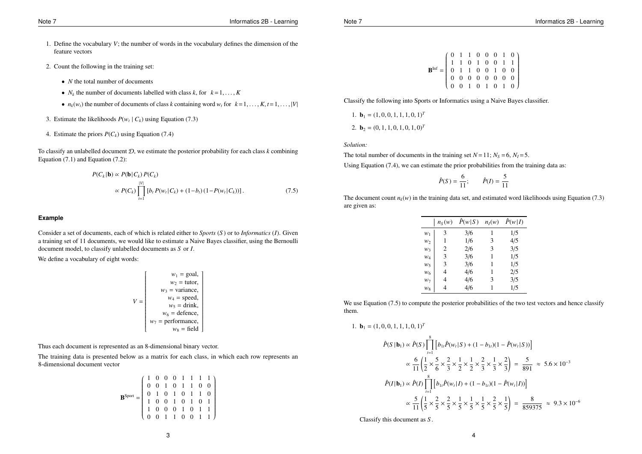- 1. Define the vocabulary *V*; the number of words in the vocabulary defines the dimension of the feature vectors
- 2. Count the following in the training set:
	- *N* the total number of documents
	- $N_k$  the number of documents labelled with class  $k$ , for  $k = 1, ..., K$
	- $n_k(w_t)$  the number of documents of class *k* containing word  $w_t$  for  $k = 1, \ldots, K, t = 1, \ldots, |V|$
- 3. Estimate the likelihoods  $P(w_t | C_k)$  using Equation (7.3)
- 4. Estimate the priors  $P(C_k)$  using Equation (7.4)

To classify an unlabelled document D, we estimate the posterior probability for each class *k* combining Equation  $(7.1)$  and Equation  $(7.2)$ :

$$
P(C_k | \mathbf{b}) \propto P(\mathbf{b} | C_k) P(C_k)
$$
  
 
$$
\propto P(C_k) \prod_{t=1}^{|V|} [b_t P(w_t | C_k) + (1 - b_t) (1 - P(w_t | C_k))]. \tag{7.5}
$$

#### **Example**

Consider a set of documents, each of which is related either to *Sports* (*S* ) or to *Informatics* (*I*). Given a training set of 11 documents, we would like to estimate a Naive Bayes classifier, using the Bernoulli document model, to classify unlabelled documents as *S* or *I*.

We define a vocabulary of eight words:

$$
V = \begin{bmatrix} w_1 = \text{goal}, \\ w_2 = \text{tutor}, \\ w_3 = \text{variance}, \\ w_4 = \text{speed}, \\ w_5 = \text{drink}, \\ w_6 = \text{defence}, \\ w_7 = \text{performance}, \\ w_8 = \text{field} \end{bmatrix}
$$

Thus each document is represented as an 8-dimensional binary vector.

The training data is presented below as a matrix for each class, in which each row represents an 8-dimensional document vector

$$
\mathbf{B}^{\text{Spot}} = \left(\begin{array}{cccccc} 1 & 0 & 0 & 0 & 1 & 1 & 1 & 1 \\ 0 & 0 & 1 & 0 & 1 & 1 & 0 & 0 \\ 0 & 1 & 0 & 1 & 0 & 1 & 1 & 0 \\ 1 & 0 & 0 & 1 & 0 & 1 & 0 & 1 \\ 1 & 0 & 0 & 0 & 1 & 0 & 1 & 1 \\ 0 & 0 & 1 & 1 & 0 & 0 & 1 & 1 \end{array}\right)
$$

$$
\mathbf{B}^{\text{Inf}} = \begin{pmatrix} 0 & 1 & 1 & 0 & 0 & 0 & 1 & 0 \\ 1 & 1 & 0 & 1 & 0 & 0 & 1 & 1 \\ 0 & 1 & 1 & 0 & 0 & 1 & 0 & 0 \\ 0 & 0 & 0 & 0 & 0 & 0 & 0 & 0 \\ 0 & 0 & 1 & 0 & 1 & 0 & 1 & 0 \end{pmatrix}
$$

Classify the following into Sports or Informatics using a Naive Bayes classifier.

1. **b**<sub>1</sub> = 
$$
(1, 0, 0, 1, 1, 1, 0, 1)^T
$$
  
2. **b**<sub>2</sub> =  $(0, 1, 1, 0, 1, 0, 1, 0)^T$ 

*Solution:*

The total number of documents in the training set  $N = 11$ ;  $N_S = 6$ ,  $N_I = 5$ .

Using Equation (7.4), we can estimate the prior probabilities from the training data as:

$$
\hat{P}(S) = \frac{6}{11};
$$
  $\hat{P}(I) = \frac{5}{11}$ 

The document count  $n_k(w)$  in the training data set, and estimated word likelihoods using Equation (7.3) are given as:

|                | $n_S(w)$ | $\hat{P}(w S)$ | $n_I(w)$ | $\hat{P}(w I)$ |
|----------------|----------|----------------|----------|----------------|
| $W_1$          | 3        | 3/6            | 1        | 1/5            |
| w,             | 1        | 1/6            | 3        | 4/5            |
| W٦             | 2        | 2/6            | 3        | 3/5            |
| $W_4$          | 3        | 3/6            | 1        | 1/5            |
| W٢             | 3        | 3/6            | 1        | 1/5            |
| W <sub>6</sub> | 4        | 4/6            | 1        | 2/5            |
| Wγ             | 4        | 4/6            | 3        | 3/5            |
| $w_8$          | 4        | 4/6            |          | 1/5            |

We use Equation (7.5) to compute the posterior probabilities of the two test vectors and hence classify them.

1. **b**<sub>1</sub> = 
$$
(1, 0, 0, 1, 1, 1, 0, 1)^T
$$

$$
\hat{P}(S \mid \mathbf{b}_{1}) \propto \hat{P}(S) \prod_{i=1}^{8} \left[ b_{1i} \hat{P}(w_{i} | S) + (1 - b_{1i})(1 - \hat{P}(w_{i} | S)) \right]
$$
\n
$$
\propto \frac{6}{11} \left( \frac{1}{2} \times \frac{5}{6} \times \frac{2}{3} \times \frac{1}{2} \times \frac{2}{2} \times \frac{1}{3} \times \frac{2}{3} \right) = \frac{5}{891} \approx 5.6 \times 10^{-3}
$$
\n
$$
\hat{P}(I \mid \mathbf{b}_{1}) \propto \hat{P}(I) \prod_{i=1}^{8} \left[ b_{1i} \hat{P}(w_{i} | I) + (1 - b_{1i})(1 - \hat{P}(w_{i} | I)) \right]
$$
\n
$$
\propto \frac{5}{11} \left( \frac{1}{5} \times \frac{2}{5} \times \frac{2}{5} \times \frac{1}{5} \times \frac{1}{5} \times \frac{2}{5} \times \frac{2}{5} \times \frac{1}{5} \right) = \frac{8}{859375} \approx 9.3 \times 10^{-6}
$$

Classify this document as *S* .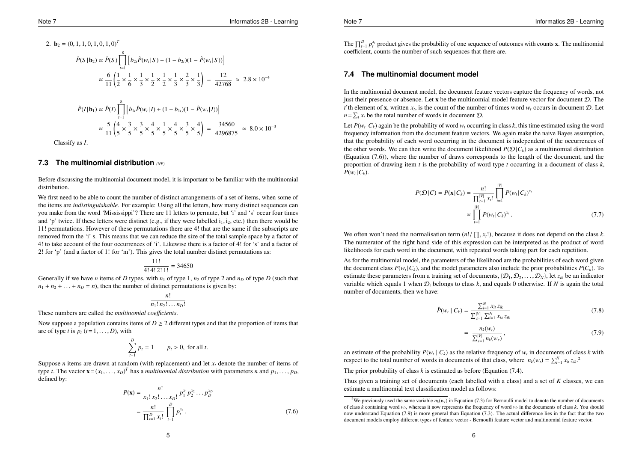2. **b**<sub>2</sub> = (0, 1, 1, 0, 1, 0, 1, 0)<sup>T</sup>  
\n
$$
\hat{P}(S | \mathbf{b}_2) \propto \hat{P}(S) \prod_{t=1}^{8} \left[ b_{2t} \hat{P}(w_t | S) + (1 - b_{2t})(1 - \hat{P}(w_t | S)) \right]
$$
\n
$$
\propto \frac{6}{11} \left( \frac{1}{2} \times \frac{1}{6} \times \frac{1}{3} \times \frac{1}{2} \times \frac{1}{2} \times \frac{1}{3} \times \frac{2}{3} \times \frac{1}{3} \right) = \frac{12}{42768} \approx 2.8 \times 10^{-4}
$$
\n
$$
\hat{P}(I | \mathbf{b}_1) \propto \hat{P}(I) \prod_{t=1}^{8} \left[ b_{1t} \hat{P}(w_t | I) + (1 - b_{1t})(1 - \hat{P}(w_t | I)) \right]
$$
\n
$$
\propto \frac{5}{11} \left( \frac{4}{5} \times \frac{3}{5} \times \frac{3}{5} \times \frac{4}{5} \times \frac{1}{5} \times \frac{4}{5} \times \frac{3}{5} \times \frac{4}{5} \right) = \frac{34560}{4296875} \approx 8.0 \times 10^{-3}
$$

Classify as *I*.

#### **7.3 The multinomial distribution** *(NE)*

Before discussing the multinomial document model, it is important to be familiar with the multinomial distribution.

We first need to be able to count the number of distinct arrangements of a set of items, when some of the items are *indistinguishable*. For example: Using all the letters, how many distinct sequences can you make from the word 'Mississippi'? There are 11 letters to permute, but 'i' and 's' occur four times and 'p' twice. If these letters were distinct (e.g., if they were labelled  $i_1$ ,  $i_2$ , etc.) then there would be 11! permutations. However of these permutations there are 4! that are the same if the subscripts are removed from the 'i' s. This means that we can reduce the size of the total sample space by a factor of 4! to take account of the four occurrences of 'i'. Likewise there is a factor of 4! for 's' and a factor of 2! for 'p' (and a factor of 1! for 'm'). This gives the total number distinct permutations as:

$$
\frac{11!}{4!4!2!1!} = 34650
$$

Generally if we have *n* items of *D* types, with  $n_1$  of type 1,  $n_2$  of type 2 and  $n_D$  of type *D* (such that  $n_1 + n_2 + \ldots + n_D = n$ , then the number of distinct permutations is given by:

$$
\frac{n!}{n_1! n_2! \dots n_D!}
$$

These numbers are called the *multinomial coe*ffi*cients*.

Now suppose a population contains items of  $D \geq 2$  different types and that the proportion of items that are of type *t* is  $p_t$  ( $t = 1, \ldots, D$ ), with

$$
\sum_{t=1}^{D} p_t = 1 \qquad p_t > 0, \text{ for all } t.
$$

Suppose *n* items are drawn at random (with replacement) and let *x<sup>t</sup>* denote the number of items of type *t*. The vector  $\mathbf{x} = (x_1, \dots, x_D)^T$  has a *multinomial distribution* with parameters *n* and  $p_1, \dots, p_D$ , defined by:

$$
P(\mathbf{x}) = \frac{n!}{x_1! \, x_2! \dots x_D!} p_1^{x_1} p_2^{x_2} \dots p_D^{x_D}
$$
  
= 
$$
\frac{n!}{\prod_{t=1}^D x_t!} \prod_{t=1}^D p_t^{x_t}.
$$
 (7.6)

The  $\prod_{t=1}^{D} p_t^{x_t}$  product gives the probability of one sequence of outcomes with counts **x**. The multinomial coefficient, counts the number of such sequences that there are.

#### **7.4 The multinomial document model**

In the multinomial document model, the document feature vectors capture the frequency of words, not just their presence or absence. Let  $x$  be the multinomial model feature vector for document  $D$ . The *t*'th element of **x**, written  $x_t$ , is the count of the number of times word  $w_t$  occurs in document D. Let  $n = \sum_t x_t$  be the total number of words in document  $D$ .

Let  $P(w_t | C_k)$  again be the probability of word  $w_t$  occurring in class  $k$ , this time estimated using the word frequency information from the document feature vectors. We again make the naive Bayes assumption, that the probability of each word occurring in the document is independent of the occurrences of the other words. We can then write the document likelihood  $P(\mathcal{D} | C_k)$  as a multinomial distribution (Equation (7.6)), where the number of draws corresponds to the length of the document, and the proportion of drawing item *t* is the probability of word type *t* occurring in a document of class *k*,  $P(w_t|C_k)$ .

$$
P(\mathcal{D}|C) = P(\mathbf{x}|C_k) = \frac{n!}{\prod_{t=1}^{|V|} x_t!} \prod_{t=1}^{|V|} P(w_t|C_k)^{x_t}
$$
  
 
$$
\propto \prod_{t=1}^{|V|} P(w_t|C_k)^{x_t}. \tag{7.7}
$$

We often won't need the normalisation term  $(n! / \prod_{i} x_i!)$ , because it does not depend on the class *k*. The numerator of the right hand side of this expression can be interpreted as the product of word likelihoods for each word in the document, with repeated words taking part for each repetition.

As for the multinomial model, the parameters of the likelihood are the probabilities of each word given the document class  $P(w_t | C_k)$ , and the model parameters also include the prior probabilities  $P(C_k)$ . To estimate these parameters from a training set of documents,  $\{\mathcal{D}_1, \mathcal{D}_2, \ldots, \mathcal{D}_N\}$ , let  $z_{ik}$  be an indicator variable which equals 1 when D*<sup>i</sup>* belongs to class *k*, and equals 0 otherwise. If *N* is again the total number of documents, then we have:

$$
\hat{P}(w_t \mid C_k) = \frac{\sum_{i=1}^{N} x_{it} z_{ik}}{\sum_{s=1}^{|V|} \sum_{i=1}^{N} x_{is} z_{ik}}
$$
(7.8)

$$
= \frac{n_k(w_t)}{\sum_{s=1}^{|V|} n_k(w_s)},\tag{7.9}
$$

an estimate of the probability  $P(w_t | C_k)$  as the relative frequency of  $w_t$  in documents of class  $k$  with respect to the total number of words in documents of that class, where  $n_k(w_t) = \sum_{i=1}^{N} x_{it} z_{ik}$ <sup>2</sup>

The prior probability of class *k* is estimated as before (Equation (7.4).

Thus given a training set of documents (each labelled with a class) and a set of *K* classes, we can estimate a multinomial text classification model as follows:

<sup>&</sup>lt;sup>2</sup>We previously used the same variable  $n_k(w_t)$  in Equation (7.3) for Bernoulli model to denote the number of documents of class *k* containing word *wt*, whereas it now represents the frequency of word *w<sup>t</sup>* in the documents of class *k*. You should now understand Equation (7.9) is more general than Equation (7.3). The actual difference lies in the fact that the two document models employ different types of feature vector - Bernoulli feature vector and multinomial feature vector.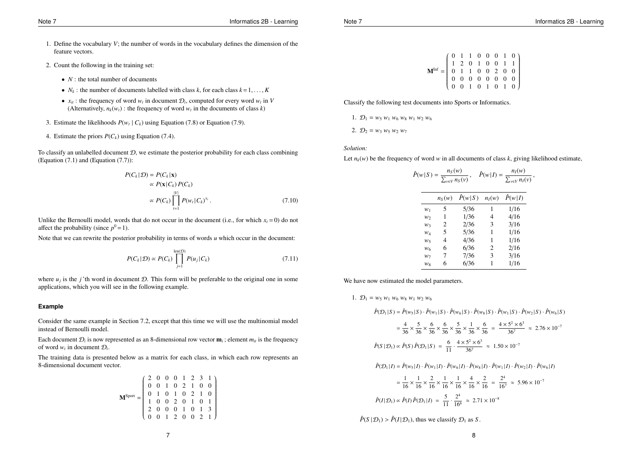- 1. Define the vocabulary *V*; the number of words in the vocabulary defines the dimension of the feature vectors.
- 2. Count the following in the training set:
	- *N* : the total number of documents
	- $N_k$ : the number of documents labelled with class  $k$ , for each class  $k = 1, ..., K$
	- $x_{it}$ : the frequency of word  $w_t$  in document  $\mathcal{D}_i$ , computed for every word  $w_t$  in *V* (Alternatively,  $n_k(w_t)$ : the frequency of word  $w_t$  in the documents of class *k*)
- 3. Estimate the likelihoods  $P(w_t | C_k)$  using Equation (7.8) or Equation (7.9).
- 4. Estimate the priors  $P(C_k)$  using Equation (7.4).

To classify an unlabelled document  $D$ , we estimate the posterior probability for each class combining (Equation (7.1) and (Equation (7.7)):

$$
P(C_k | \mathcal{D}) = P(C_k | \mathbf{x})
$$
  
\n
$$
\propto P(\mathbf{x} | C_k) P(C_k)
$$
  
\n
$$
\propto P(C_k) \prod_{t=1}^{|V|} P(w_t | C_k)^{x_t}.
$$
\n(7.10)

Unlike the Bernoulli model, words that do not occur in the document (i.e., for which  $x_t = 0$ ) do not affect the probability (since  $p^0 = 1$ ).

Note that we can rewrite the posterior probability in terms of words *u* which occur in the document:

$$
P(C_k|\mathcal{D}) \propto P(C_k) \prod_{j=1}^{\text{len}(\mathcal{D})} P(u_j|C_k)
$$
\n(7.11)

where  $u_i$  is the *j*'th word in document D. This form will be preferable to the original one in some applications, which you will see in the following example.

## **Example**

Consider the same example in Section 7.2, except that this time we will use the multinomial model instead of Bernoulli model.

Each document  $\mathcal{D}_i$  is now represented as an 8-dimensional row vector  $\mathbf{m}_i$ ; element  $m_i$  is the frequency of word  $w_t$  in document  $\mathcal{D}_i$ .

The training data is presented below as a matrix for each class, in which each row represents an 8-dimensional document vector.

| MSport |  |  |  |                                                                                                                                                                                                                                                          |
|--------|--|--|--|----------------------------------------------------------------------------------------------------------------------------------------------------------------------------------------------------------------------------------------------------------|
|        |  |  |  |                                                                                                                                                                                                                                                          |
|        |  |  |  |                                                                                                                                                                                                                                                          |
|        |  |  |  | $\left( \begin{array}{cccccc} 2 & 0 & 0 & 0 & 1 & 2 & 3 & 1 \\ 0 & 0 & 1 & 0 & 2 & 1 & 0 & 0 \\ 0 & 1 & 0 & 1 & 0 & 2 & 1 & 0 \\ 1 & 0 & 0 & 2 & 0 & 1 & 0 & 1 \\ 2 & 0 & 0 & 0 & 1 & 0 & 1 & 3 \\ 0 & 0 & 1 & 2 & 0 & 0 & 2 & 1 \\ \end{array} \right)$ |
|        |  |  |  |                                                                                                                                                                                                                                                          |

$$
\mathbf{M}^{\text{Inf}} = \left(\begin{array}{cccccc} 0 & 1 & 1 & 0 & 0 & 0 & 1 & 0 \\ 1 & 2 & 0 & 1 & 0 & 0 & 1 & 1 \\ 0 & 1 & 1 & 0 & 0 & 2 & 0 & 0 \\ 0 & 0 & 0 & 0 & 0 & 0 & 0 & 0 \\ 0 & 0 & 1 & 0 & 1 & 0 & 1 & 0 \end{array}\right)
$$

Classify the following test documents into Sports or Informatics.

1. 
$$
\mathcal{D}_1 = w_5 w_1 w_6 w_8 w_1 w_2 w_6
$$

2.  $\mathcal{D}_2 = w_3 w_5 w_2 w_7$ 

*Solution:*

Let  $n_k(w)$  be the frequency of word w in all documents of class k, giving likelihood estimate,

|       | $n_S(w)$ | $\hat{P}(w S)$ | $n_I(w)$ | $\hat{P}(w I)$ |
|-------|----------|----------------|----------|----------------|
| $W_1$ | 5        | 5/36           | 1        | 1/16           |
| $W_2$ | 1        | 1/36           | 4        | 4/16           |
| $W_3$ | 2        | 2/36           | 3        | 3/16           |
| $W_4$ | 5        | 5/36           | 1        | 1/16           |
| $W_5$ | 4        | 4/36           | 1        | 1/16           |
| $W_6$ | 6        | 6/36           | 2        | 2/16           |
| $W_7$ | 7        | 7/36           | 3        | 3/16           |
| $W_8$ | 6        | 6/36           | 1        | 1/16           |

We have now estimated the model parameters.

1. 
$$
\mathcal{D}_1 = w_5 w_1 w_6 w_8 w_1 w_2 w_6
$$

 $\hat{P}(\mathcal{D}_1|S) = \hat{P}(w_5|S) \cdot \hat{P}(w_1|S) \cdot \hat{P}(w_6|S) \cdot \hat{P}(w_8|S) \cdot \hat{P}(w_1|S) \cdot \hat{P}(w_2|S) \cdot \hat{P}(w_6|S)$ 

$$
= \frac{4}{36} \times \frac{5}{36} \times \frac{6}{36} \times \frac{6}{36} \times \frac{5}{36} \times \frac{1}{36} \times \frac{6}{36} = \frac{4 \times 5^2 \times 6^3}{36^7} \approx 2.76 \times 10^{-7}
$$
  

$$
\hat{P}(S \mid \mathcal{D}_1) \propto \hat{P}(S) \hat{P}(\mathcal{D}_1 \mid S) = \frac{6}{11} \cdot \frac{4 \times 5^2 \times 6^3}{36^7} \approx 1.50 \times 10^{-7}
$$

 $\hat{P}(\mathcal{D}_1 | I) = \hat{P}(w_5 | I) \cdot \hat{P}(w_1 | I) \cdot \hat{P}(w_6 | I) \cdot \hat{P}(w_8 | I) \cdot \hat{P}(w_1 | I) \cdot \hat{P}(w_2 | I) \cdot \hat{P}(w_6 | I)$ 

$$
= \frac{1}{16} \times \frac{1}{16} \times \frac{2}{16} \times \frac{1}{16} \times \frac{1}{16} \times \frac{4}{16} \times \frac{2}{16} = \frac{2^4}{16^7} \approx 5.96 \times 10^{-7}
$$
  

$$
\hat{P}(I|\mathcal{D}_1) \propto \hat{P}(I)\hat{P}(\mathcal{D}_1|I) = \frac{5}{11} \cdot \frac{2^4}{16^6} \approx 2.71 \times 10^{-8}
$$

 $\hat{P}(S | \mathcal{D}_1)$  >  $\hat{P}(I | \mathcal{D}_1)$ , thus we classify  $\mathcal{D}_1$  as *S*.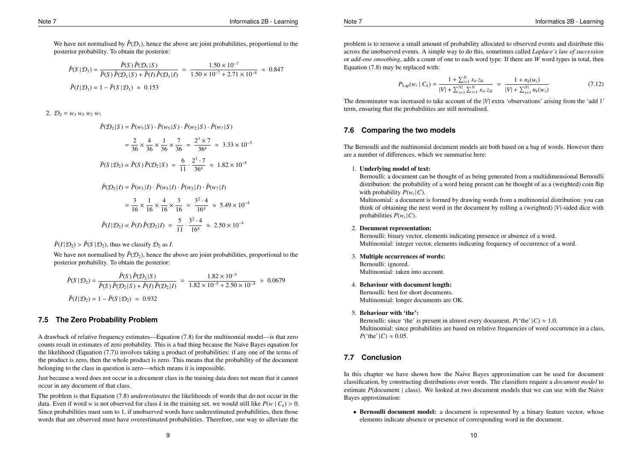We have not normalised by  $\hat{P}(\mathcal{D}_1)$ , hence the above are joint probabilities, proportional to the posterior probability. To obtain the posterior:

$$
\hat{P}(S \mid \mathcal{D}_1) = \frac{\hat{P}(S) \hat{P}(\mathcal{D}_1 \mid S)}{\hat{P}(S) \hat{P}(\mathcal{D}_1 \mid S) + \hat{P}(I) \hat{P}(\mathcal{D}_1 \mid I)} = \frac{1.50 \times 10^{-7}}{1.50 \times 10^{-7} + 2.71 \times 10^{-8}} \approx 0.847
$$
  

$$
\hat{P}(I \mid \mathcal{D}_1) = 1 - \hat{P}(S \mid \mathcal{D}_1) \approx 0.153
$$

2.  $\mathcal{D}_2 = w_3 w_5 w_2 w_7$ 

$$
\hat{P}(\mathcal{D}_2|S) = \hat{P}(w_3|S) \cdot \hat{P}(w_5|S) \cdot \hat{P}(w_2|S) \cdot \hat{P}(w_7|S)
$$

$$
= \frac{2}{36} \times \frac{4}{36} \times \frac{1}{36} \times \frac{7}{36} = \frac{2^3 \times 7}{36^4} \approx 3.33 \times 10^{-5}
$$
  

$$
\hat{P}(S \mid \mathcal{D}_2) \propto \hat{P}(S) \hat{P}(\mathcal{D}_2 \mid S) = \frac{6}{11} \cdot \frac{2^3 \cdot 7}{36^4} \approx 1.82 \times 10^{-5}
$$

 $\hat{P}(\mathcal{D}_2 | I) = \hat{P}(w_3 | I) \cdot \hat{P}(w_5 | I) \cdot \hat{P}(w_2 | I) \cdot \hat{P}(w_7 | I)$ 

$$
= \frac{3}{16} \times \frac{1}{16} \times \frac{4}{16} \times \frac{3}{16} = \frac{3^2 \cdot 4}{16^4} \approx 5.49 \times 10^{-4}
$$
  

$$
\hat{P}(I|\mathcal{D}_2) \propto \hat{P}(I) \hat{P}(\mathcal{D}_2|I) = \frac{5}{11} \cdot \frac{3^2 \cdot 4}{16^4} \approx 2.50 \times 10^{-4}
$$

 $\hat{P}(I|\mathcal{D}_2) > \hat{P}(S|\mathcal{D}_2)$ , thus we classify  $\mathcal{D}_2$  as *I*.

We have not normalised by  $\hat{P}(\mathcal{D}_2)$ , hence the above are joint probabilities, proportional to the posterior probability. To obtain the posterior:

$$
\hat{P}(S \mid \mathcal{D}_2) = \frac{\hat{P}(S) \hat{P}(\mathcal{D}_2 \mid S)}{\hat{P}(S) \hat{P}(\mathcal{D}_2 \mid S) + \hat{P}(I) \hat{P}(\mathcal{D}_2 \mid I)} = \frac{1.82 \times 10^{-5}}{1.82 \times 10^{-5} + 2.50 \times 10^{-4}} \approx 0.0679
$$
  

$$
\hat{P}(I \mid \mathcal{D}_2) = 1 - \hat{P}(S \mid \mathcal{D}_2) \approx 0.932
$$

## **7.5 The Zero Probability Problem**

A drawback of relative frequency estimates—Equation (7.8) for the multinomial model—is that zero counts result in estimates of zero probability. This is a bad thing because the Naive Bayes equation for the likelihood (Equation (7.7)) involves taking a product of probabilities: if any one of the terms of the product is zero, then the whole product is zero. This means that the probability of the document belonging to the class in question is zero—which means it is impossible.

Just because a word does not occur in a document class in the training data does not mean that it cannot occur in any document of that class.

The problem is that Equation (7.8) *underestimates* the likelihoods of words that do not occur in the data. Even if word *w* is not observed for class *k* in the training set, we would still like  $P(w | C_k) > 0$ . Since probabilities must sum to 1, if unobserved words have underestimated probabilities, then those words that are observed must have overestimated probabilities. Therefore, one way to alleviate the

problem is to remove a small amount of probability allocated to observed events and distribute this across the unobserved events. A simple way to do this, sometimes called *Laplace's law of succession* or *add-one smoothing*, adds a count of one to each word type. If there are *W* word types in total, then Equation (7.8) may be replaced with:

$$
P_{\text{Lap}}(w_t \mid C_k) = \frac{1 + \sum_{i=1}^{N} x_{it} z_{ik}}{|V| + \sum_{s=1}^{|V|} \sum_{i=1}^{N} x_{is} z_{ik}} = \frac{1 + n_k(w_t)}{|V| + \sum_{s=1}^{|V|} n_k(w_s)}
$$
(7.12)

The denominator was increased to take account of the |*V*| extra 'observations' arising from the 'add 1' term, ensuring that the probabilities are still normalised.

## **7.6 Comparing the two models**

The Bernoulli and the multinomial document models are both based on a bag of words. However there are a number of differences, which we summarise here:

#### 1. Underlying model of text:

Bernoulli: a document can be thought of as being generated from a multidimensional Bernoulli distribution: the probability of a word being present can be thought of as a (weighted) coin flip with probability  $P(w_t|C)$ .

Multinomial: a document is formed by drawing words from a multinomial distribution: you can think of obtaining the next word in the document by rolling a (weighted) |*V*|-sided dice with probabilities  $P(w_t | C)$ .

#### 2. Document representation:

Bernoulli: binary vector, elements indicating presence or absence of a word. Multinomial: integer vector, elements indicating frequency of occurrence of a word.

- 3. Multiple occurrences of words:
	- Bernoulli: ignored. Multinomial: taken into account.
- 4. Behaviour with document length:

Bernoulli: best for short documents. Multinomial: longer documents are OK.

#### 5. Behaviour with 'the':

Bernoulli: since 'the' is present in almost every document,  $P("the" | C) \approx 1.0$ . Multinomial: since probabilities are based on relative frequencies of word occurrence in a class, *P*('the'|*C*)  $\approx 0.05$ .

# **7.7 Conclusion**

In this chapter we have shown how the Naive Bayes approximation can be used for document classification, by constructing distributions over words. The classifiers require a *document model* to estimate *P*(document | class). We looked at two document models that we can use with the Naive Bayes approximation:

• Bernoulli document model: a document is represented by a binary feature vector, whose elements indicate absence or presence of corresponding word in the document.